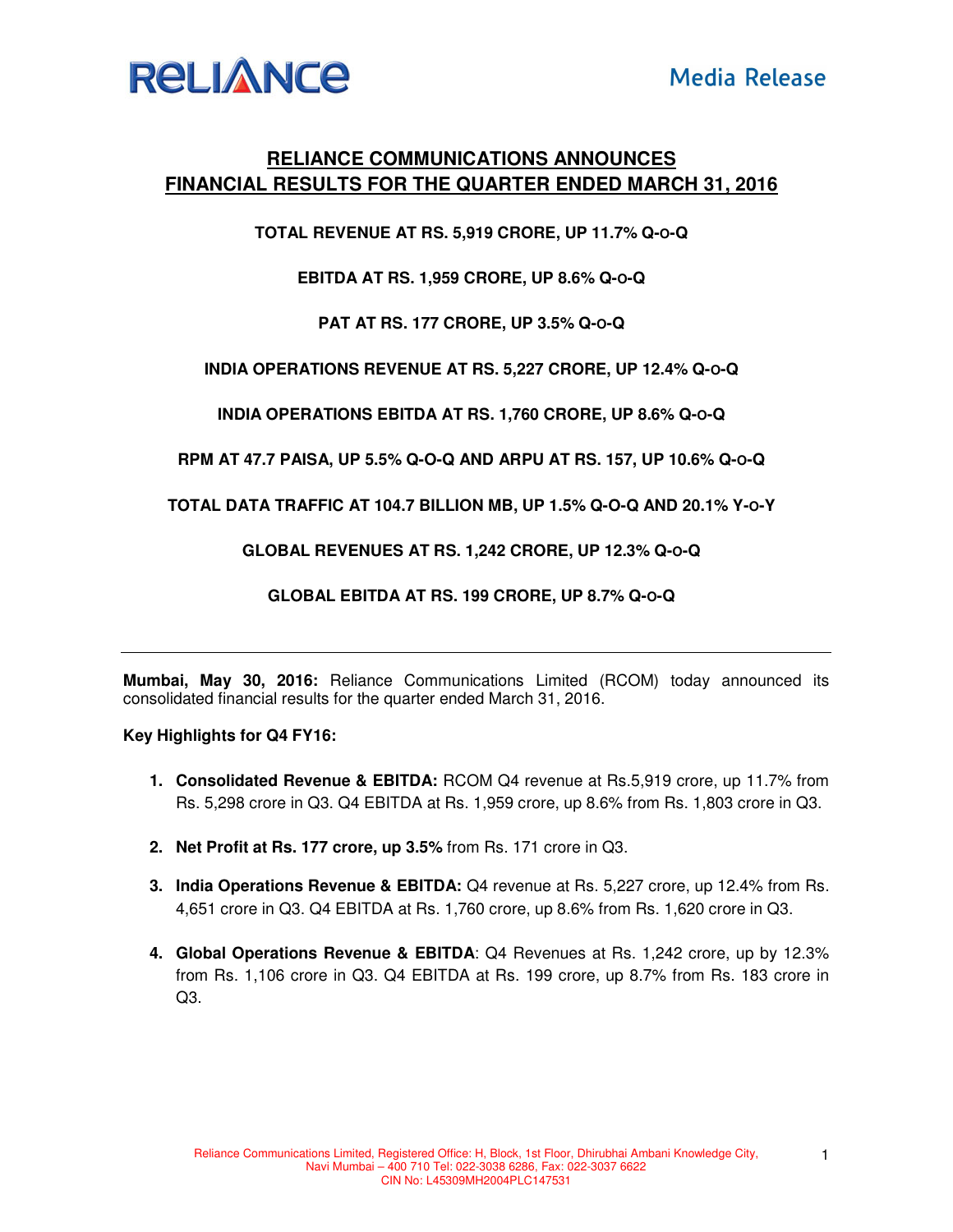

## **RELIANCE COMMUNICATIONS ANNOUNCES FINANCIAL RESULTS FOR THE QUARTER ENDED MARCH 31, 2016**

**TOTAL REVENUE AT RS. 5,919 CRORE, UP 11.7% Q-O-Q** 

**EBITDA AT RS. 1,959 CRORE, UP 8.6% Q-O-Q** 

**PAT AT RS. 177 CRORE, UP 3.5% Q-O-Q** 

**INDIA OPERATIONS REVENUE AT RS. 5,227 CRORE, UP 12.4% Q-O-Q** 

**INDIA OPERATIONS EBITDA AT RS. 1,760 CRORE, UP 8.6% Q-O-Q** 

**RPM AT 47.7 PAISA, UP 5.5% Q-O-Q AND ARPU AT RS. 157, UP 10.6% Q-O-Q** 

**TOTAL DATA TRAFFIC AT 104.7 BILLION MB, UP 1.5% Q-O-Q AND 20.1% Y-O-Y** 

**GLOBAL REVENUES AT RS. 1,242 CRORE, UP 12.3% Q-O-Q** 

**GLOBAL EBITDA AT RS. 199 CRORE, UP 8.7% Q-O-Q** 

**Mumbai, May 30, 2016:** Reliance Communications Limited (RCOM) today announced its consolidated financial results for the quarter ended March 31, 2016.

**Key Highlights for Q4 FY16:** 

- **1. Consolidated Revenue & EBITDA:** RCOM Q4 revenue at Rs.5,919 crore, up 11.7% from Rs. 5,298 crore in Q3. Q4 EBITDA at Rs. 1,959 crore, up 8.6% from Rs. 1,803 crore in Q3.
- **2. Net Profit at Rs. 177 crore, up 3.5%** from Rs. 171 crore in Q3.
- **3. India Operations Revenue & EBITDA:** Q4 revenue at Rs. 5,227 crore, up 12.4% from Rs. 4,651 crore in Q3. Q4 EBITDA at Rs. 1,760 crore, up 8.6% from Rs. 1,620 crore in Q3.
- **4. Global Operations Revenue & EBITDA**: Q4 Revenues at Rs. 1,242 crore, up by 12.3% from Rs. 1,106 crore in Q3. Q4 EBITDA at Rs. 199 crore, up 8.7% from Rs. 183 crore in Q3.

1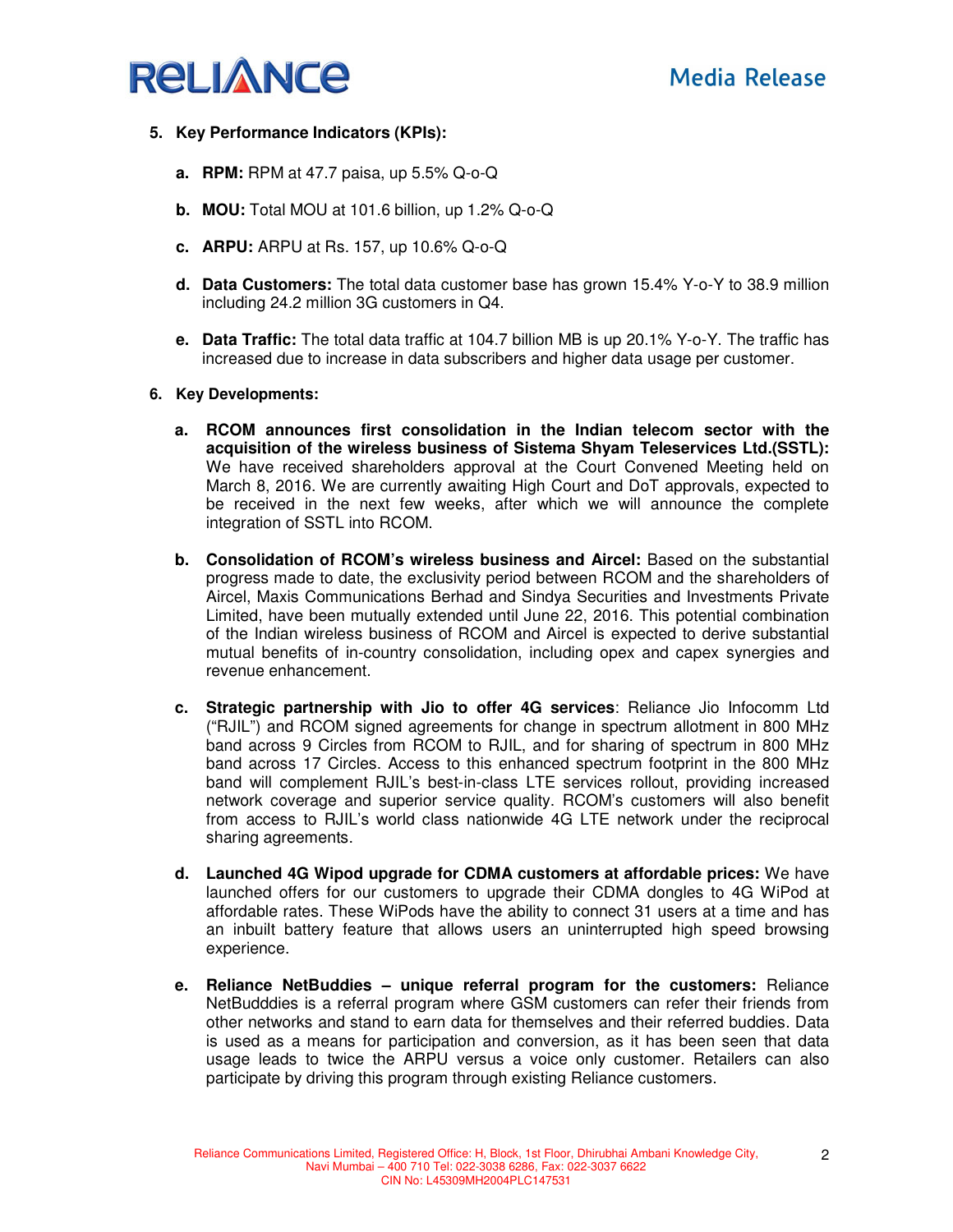

- **5. Key Performance Indicators (KPIs):** 
	- **a. RPM:** RPM at 47.7 paisa, up 5.5% Q-o-Q
	- **b. MOU:** Total MOU at 101.6 billion, up 1.2% Q-o-Q
	- **c. ARPU:** ARPU at Rs. 157, up 10.6% Q-o-Q
	- **d. Data Customers:** The total data customer base has grown 15.4% Y-o-Y to 38.9 million including 24.2 million 3G customers in Q4.
	- **e. Data Traffic:** The total data traffic at 104.7 billion MB is up 20.1% Y-o-Y. The traffic has increased due to increase in data subscribers and higher data usage per customer.

### **6. Key Developments:**

- **a. RCOM announces first consolidation in the Indian telecom sector with the acquisition of the wireless business of Sistema Shyam Teleservices Ltd.(SSTL):** We have received shareholders approval at the Court Convened Meeting held on March 8, 2016. We are currently awaiting High Court and DoT approvals, expected to be received in the next few weeks, after which we will announce the complete integration of SSTL into RCOM.
- **b. Consolidation of RCOM's wireless business and Aircel:** Based on the substantial progress made to date, the exclusivity period between RCOM and the shareholders of Aircel, Maxis Communications Berhad and Sindya Securities and Investments Private Limited, have been mutually extended until June 22, 2016. This potential combination of the Indian wireless business of RCOM and Aircel is expected to derive substantial mutual benefits of in-country consolidation, including opex and capex synergies and revenue enhancement.
- **c. Strategic partnership with Jio to offer 4G services**: Reliance Jio Infocomm Ltd ("RJIL") and RCOM signed agreements for change in spectrum allotment in 800 MHz band across 9 Circles from RCOM to RJIL, and for sharing of spectrum in 800 MHz band across 17 Circles. Access to this enhanced spectrum footprint in the 800 MHz band will complement RJIL's best-in-class LTE services rollout, providing increased network coverage and superior service quality. RCOM's customers will also benefit from access to RJIL's world class nationwide 4G LTE network under the reciprocal sharing agreements.
- **d. Launched 4G Wipod upgrade for CDMA customers at affordable prices:** We have launched offers for our customers to upgrade their CDMA dongles to 4G WiPod at affordable rates. These WiPods have the ability to connect 31 users at a time and has an inbuilt battery feature that allows users an uninterrupted high speed browsing experience.
- **e. Reliance NetBuddies unique referral program for the customers:** Reliance NetBudddies is a referral program where GSM customers can refer their friends from other networks and stand to earn data for themselves and their referred buddies. Data is used as a means for participation and conversion, as it has been seen that data usage leads to twice the ARPU versus a voice only customer. Retailers can also participate by driving this program through existing Reliance customers.

2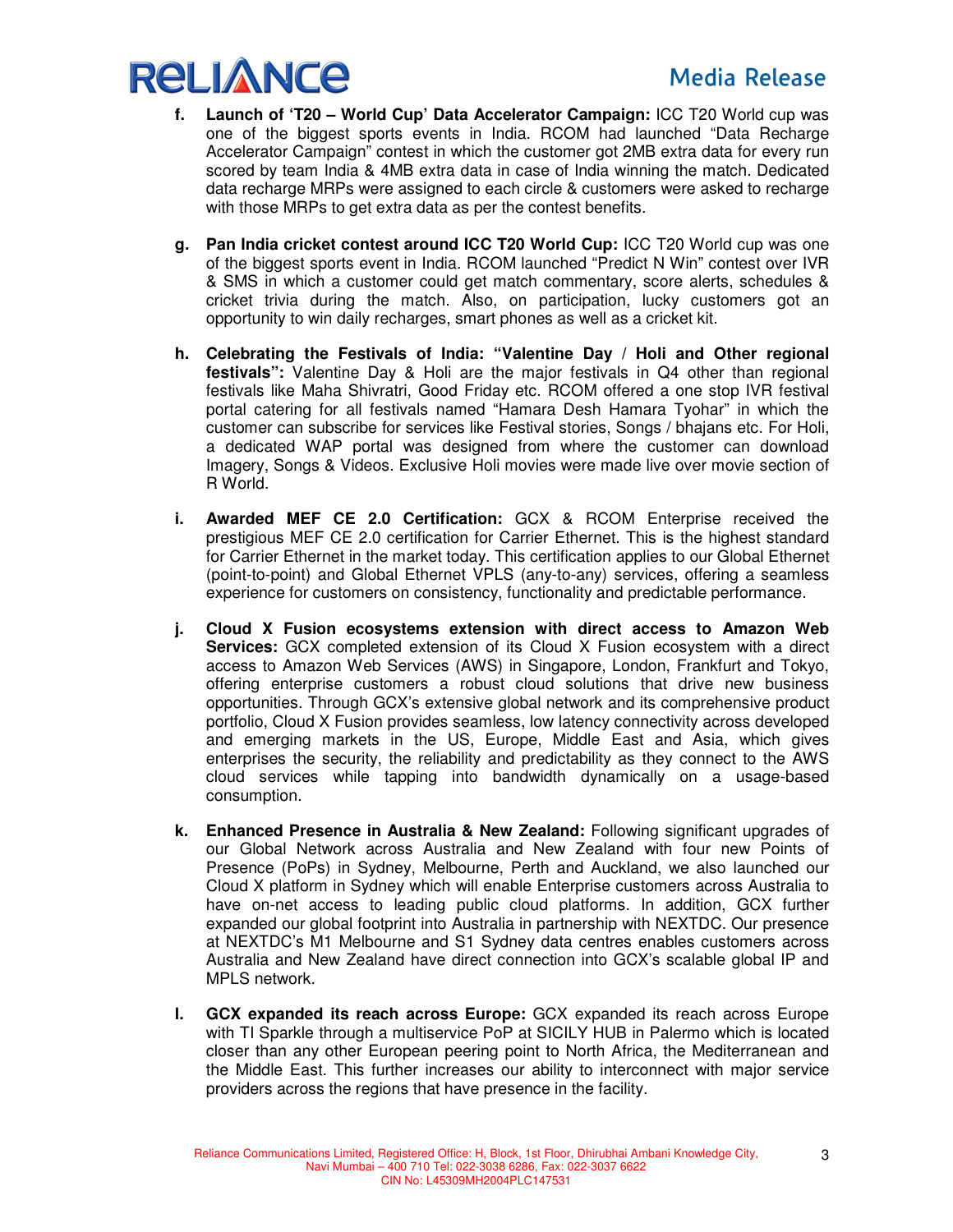# **Media Release**



- **f. Launch of 'T20 World Cup' Data Accelerator Campaign:** ICC T20 World cup was one of the biggest sports events in India. RCOM had launched "Data Recharge Accelerator Campaign" contest in which the customer got 2MB extra data for every run scored by team India & 4MB extra data in case of India winning the match. Dedicated data recharge MRPs were assigned to each circle & customers were asked to recharge with those MRPs to get extra data as per the contest benefits.
- **g. Pan India cricket contest around ICC T20 World Cup:** ICC T20 World cup was one of the biggest sports event in India. RCOM launched "Predict N Win" contest over IVR & SMS in which a customer could get match commentary, score alerts, schedules & cricket trivia during the match. Also, on participation, lucky customers got an opportunity to win daily recharges, smart phones as well as a cricket kit.
- **h. Celebrating the Festivals of India: "Valentine Day / Holi and Other regional festivals":** Valentine Day & Holi are the major festivals in Q4 other than regional festivals like Maha Shivratri, Good Friday etc. RCOM offered a one stop IVR festival portal catering for all festivals named "Hamara Desh Hamara Tyohar" in which the customer can subscribe for services like Festival stories, Songs / bhajans etc. For Holi, a dedicated WAP portal was designed from where the customer can download Imagery, Songs & Videos. Exclusive Holi movies were made live over movie section of R World.
- **i. Awarded MEF CE 2.0 Certification:** GCX & RCOM Enterprise received the prestigious MEF CE 2.0 certification for Carrier Ethernet. This is the highest standard for Carrier Ethernet in the market today. This certification applies to our Global Ethernet (point-to-point) and Global Ethernet VPLS (any-to-any) services, offering a seamless experience for customers on consistency, functionality and predictable performance.
- **j. Cloud X Fusion ecosystems extension with direct access to Amazon Web Services:** GCX completed extension of its Cloud X Fusion ecosystem with a direct access to Amazon Web Services (AWS) in Singapore, London, Frankfurt and Tokyo, offering enterprise customers a robust cloud solutions that drive new business opportunities. Through GCX's extensive global network and its comprehensive product portfolio, Cloud X Fusion provides seamless, low latency connectivity across developed and emerging markets in the US, Europe, Middle East and Asia, which gives enterprises the security, the reliability and predictability as they connect to the AWS cloud services while tapping into bandwidth dynamically on a usage-based consumption.
- **k. Enhanced Presence in Australia & New Zealand:** Following significant upgrades of our Global Network across Australia and New Zealand with four new Points of Presence (PoPs) in Sydney, Melbourne, Perth and Auckland, we also launched our Cloud X platform in Sydney which will enable Enterprise customers across Australia to have on-net access to leading public cloud platforms. In addition, GCX further expanded our global footprint into Australia in partnership with NEXTDC. Our presence at NEXTDC's M1 Melbourne and S1 Sydney data centres enables customers across Australia and New Zealand have direct connection into GCX's scalable global IP and MPLS network.
- **l. GCX expanded its reach across Europe:** GCX expanded its reach across Europe with TI Sparkle through a multiservice PoP at SICILY HUB in Palermo which is located closer than any other European peering point to North Africa, the Mediterranean and the Middle East. This further increases our ability to interconnect with major service providers across the regions that have presence in the facility.

3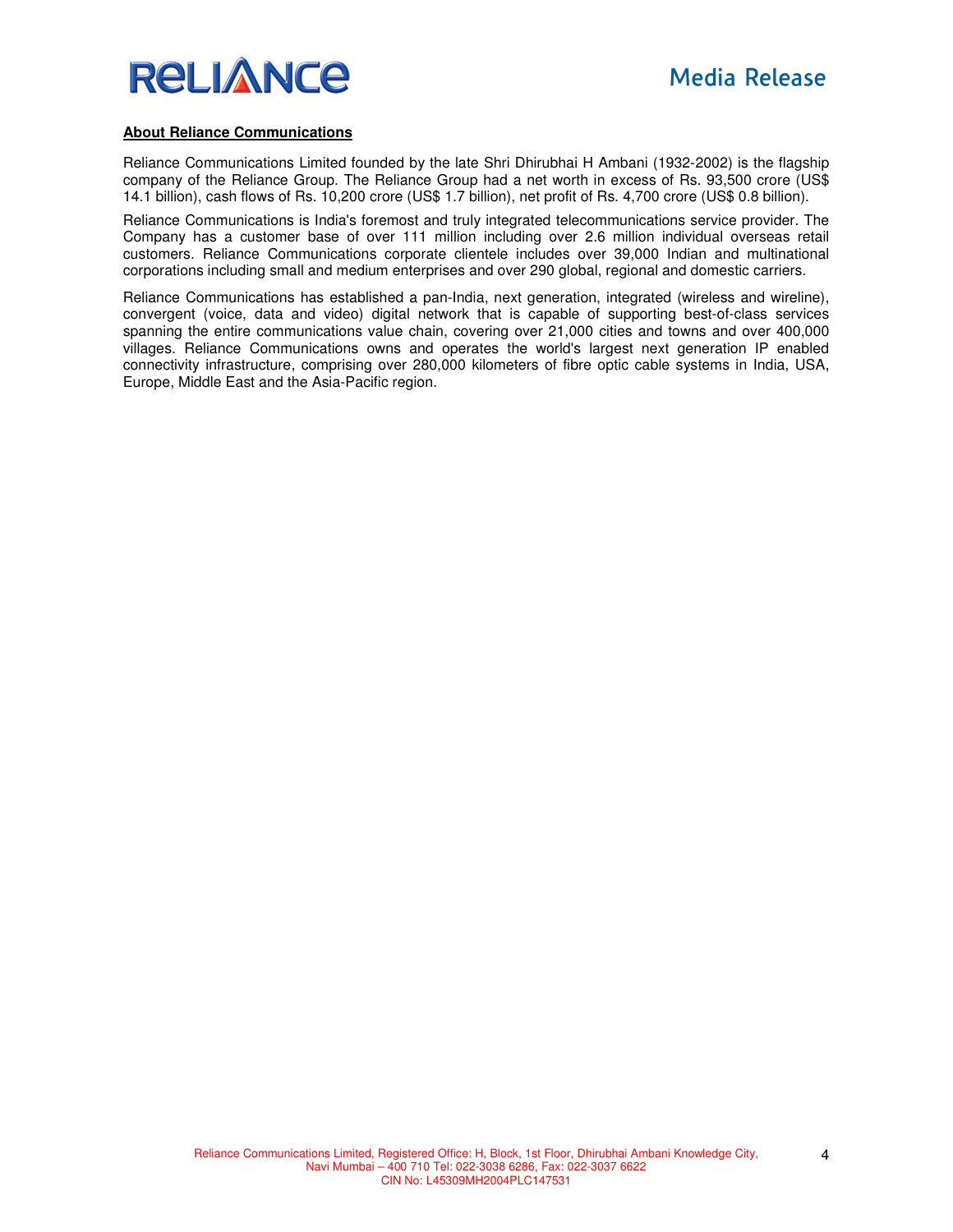

#### **About Reliance Communications**

Reliance Communications Limited founded by the late Shri Dhirubhai H Ambani (1932-2002) is the flagship company of the Reliance Group. The Reliance Group had a net worth in excess of Rs. 93,500 crore (US\$ 14.1 billion), cash flows of Rs. 10,200 crore (US\$ 1.7 billion), net profit of Rs. 4,700 crore (US\$ 0.8 billion).

Reliance Communications is India's foremost and truly integrated telecommunications service provider. The Company has a customer base of over 111 million including over 2.6 million individual overseas retail customers. Reliance Communications corporate clientele includes over 39,000 Indian and multinational corporations including small and medium enterprises and over 290 global, regional and domestic carriers.

Reliance Communications has established a pan-India, next generation, integrated (wireless and wireline), convergent (voice, data and video) digital network that is capable of supporting best-of-class services spanning the entire communications value chain, covering over 21,000 cities and towns and over 400,000 villages. Reliance Communications owns and operates the world's largest next generation IP enabled connectivity infrastructure, comprising over 280,000 kilometers of fibre optic cable systems in India, USA, Europe, Middle East and the Asia-Pacific region.